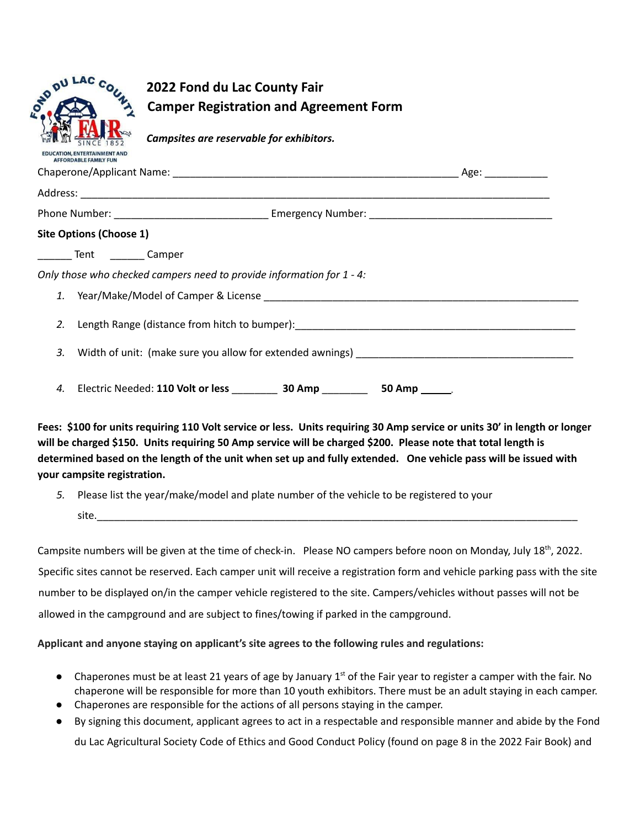| <b>DU LAC</b><br>OND<br><b>CATION, ENTERTAINMENT AND</b>              | 2022 Fond du Lac County Fair<br><b>Camper Registration and Agreement Form</b><br>Campsites are reservable for exhibitors. |  |  |  |
|-----------------------------------------------------------------------|---------------------------------------------------------------------------------------------------------------------------|--|--|--|
| <b>AFFORDABLE FAMILY FUN</b>                                          |                                                                                                                           |  |  |  |
|                                                                       |                                                                                                                           |  |  |  |
|                                                                       |                                                                                                                           |  |  |  |
| <b>Site Options (Choose 1)</b>                                        |                                                                                                                           |  |  |  |
| _______ Tent _________ Camper                                         |                                                                                                                           |  |  |  |
| Only those who checked campers need to provide information for 1 - 4: |                                                                                                                           |  |  |  |
| 1.                                                                    |                                                                                                                           |  |  |  |
| 2.                                                                    | Length Range (distance from hitch to bumper): __________________________________                                          |  |  |  |
| 3.                                                                    |                                                                                                                           |  |  |  |
| 4.                                                                    |                                                                                                                           |  |  |  |

Fees: \$100 for units requiring 110 Volt service or less. Units requiring 30 Amp service or units 30' in length or longer will be charged \$150. Units requiring 50 Amp service will be charged \$200. Please note that total length is determined based on the length of the unit when set up and fully extended. One vehicle pass will be issued with **your campsite registration.**

*5.* Please list the year/make/model and plate number of the vehicle to be registered to your site.\_\_\_\_\_\_\_\_\_\_\_\_\_\_\_\_\_\_\_\_\_\_\_\_\_\_\_\_\_\_\_\_\_\_\_\_\_\_\_\_\_\_\_\_\_\_\_\_\_\_\_\_\_\_\_\_\_\_\_\_\_\_\_\_\_\_\_\_\_\_\_\_\_\_\_\_\_\_\_\_\_\_\_\_

Campsite numbers will be given at the time of check-in. Please NO campers before noon on Monday, July 18<sup>th</sup>, 2022. Specific sites cannot be reserved. Each camper unit will receive a registration form and vehicle parking pass with the site number to be displayed on/in the camper vehicle registered to the site. Campers/vehicles without passes will not be allowed in the campground and are subject to fines/towing if parked in the campground.

## **Applicant and anyone staying on applicant's site agrees to the following rules and regulations:**

- Chaperones must be at least 21 years of age by January  $1<sup>st</sup>$  of the Fair year to register a camper with the fair. No chaperone will be responsible for more than 10 youth exhibitors. There must be an adult staying in each camper.
- Chaperones are responsible for the actions of all persons staying in the camper.
- By signing this document, applicant agrees to act in a respectable and responsible manner and abide by the Fond du Lac Agricultural Society Code of Ethics and Good Conduct Policy (found on page 8 in the 2022 Fair Book) and